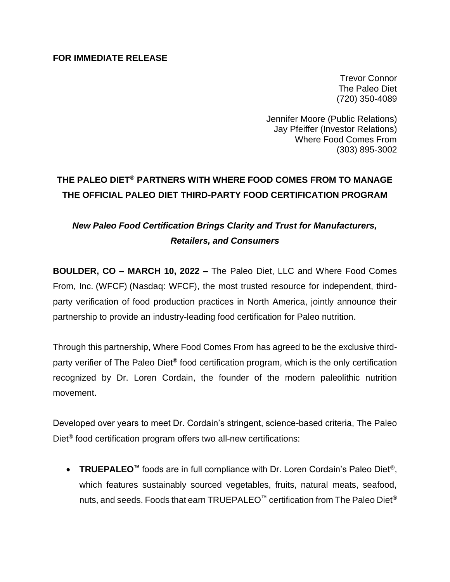### **FOR IMMEDIATE RELEASE**

Trevor Connor The Paleo Diet (720) 350-4089

Jennifer Moore (Public Relations) Jay Pfeiffer (Investor Relations) Where Food Comes From (303) 895-3002

# **THE PALEO DIET® PARTNERS WITH WHERE FOOD COMES FROM TO MANAGE THE OFFICIAL PALEO DIET THIRD-PARTY FOOD CERTIFICATION PROGRAM**

## *New Paleo Food Certification Brings Clarity and Trust for Manufacturers, Retailers, and Consumers*

**BOULDER, CO – MARCH 10, 2022 –** The Paleo Diet, LLC and Where Food Comes From, Inc. (WFCF) (Nasdaq: WFCF), the most trusted resource for independent, thirdparty verification of food production practices in North America, jointly announce their partnership to provide an industry-leading food certification for Paleo nutrition.

Through this partnership, Where Food Comes From has agreed to be the exclusive thirdparty verifier of The Paleo Diet® food certification program, which is the only certification recognized by Dr. Loren Cordain, the founder of the modern paleolithic nutrition movement.

Developed over years to meet Dr. Cordain's stringent, science-based criteria, The Paleo Diet<sup>®</sup> food certification program offers two all-new certifications:

• **TRUEPALEO™** foods are in full compliance with Dr. Loren Cordain's Paleo Diet®, which features sustainably sourced vegetables, fruits, natural meats, seafood, nuts, and seeds. Foods that earn TRUEPALEO™ certification from The Paleo Diet®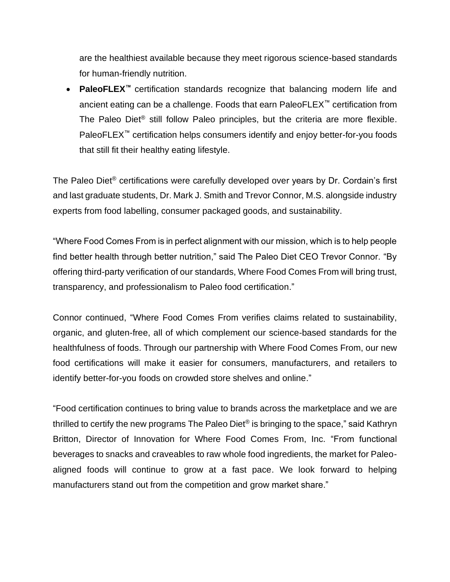are the healthiest available because they meet rigorous science-based standards for human-friendly nutrition.

• **PaleoFLEX™** certification standards recognize that balancing modern life and ancient eating can be a challenge. Foods that earn PaleoFLEX™ certification from The Paleo Diet ® still follow Paleo principles, but the criteria are more flexible. PaleoFLEX<sup>™</sup> certification helps consumers identify and enjoy better-for-you foods that still fit their healthy eating lifestyle.

The Paleo Diet® certifications were carefully developed over years by Dr. Cordain's first and last graduate students, Dr. Mark J. Smith and Trevor Connor, M.S. alongside industry experts from food labelling, consumer packaged goods, and sustainability.

"Where Food Comes From is in perfect alignment with our mission, which is to help people find better health through better nutrition," said The Paleo Diet CEO Trevor Connor. "By offering third-party verification of our standards, Where Food Comes From will bring trust, transparency, and professionalism to Paleo food certification."

Connor continued, "Where Food Comes From verifies claims related to sustainability, organic, and gluten-free, all of which complement our science-based standards for the healthfulness of foods. Through our partnership with Where Food Comes From, our new food certifications will make it easier for consumers, manufacturers, and retailers to identify better-for-you foods on crowded store shelves and online."

"Food certification continues to bring value to brands across the marketplace and we are thrilled to certify the new programs The Paleo Diet® is bringing to the space," said Kathryn Britton, Director of Innovation for Where Food Comes From, Inc. "From functional beverages to snacks and craveables to raw whole food ingredients, the market for Paleoaligned foods will continue to grow at a fast pace. We look forward to helping manufacturers stand out from the competition and grow market share."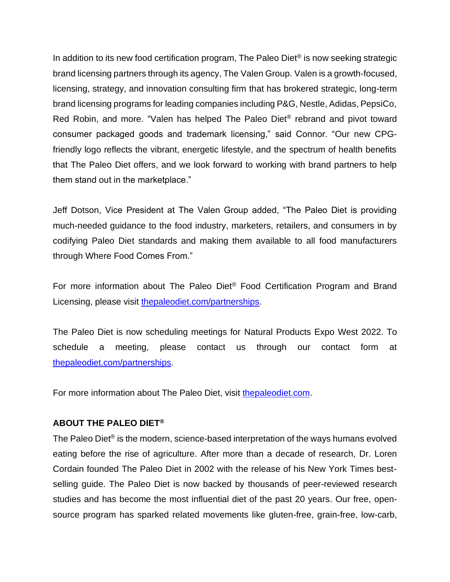In addition to its new food certification program, The Paleo Diet<sup>®</sup> is now seeking strategic brand licensing partners through its agency, The Valen Group. Valen is a growth-focused, licensing, strategy, and innovation consulting firm that has brokered strategic, long-term brand licensing programs for leading companies including P&G, Nestle, Adidas, PepsiCo, Red Robin, and more. "Valen has helped The Paleo Diet® rebrand and pivot toward consumer packaged goods and trademark licensing," said Connor. "Our new CPGfriendly logo reflects the vibrant, energetic lifestyle, and the spectrum of health benefits that The Paleo Diet offers, and we look forward to working with brand partners to help them stand out in the marketplace."

Jeff Dotson, Vice President at The Valen Group added, "The Paleo Diet is providing much-needed guidance to the food industry, marketers, retailers, and consumers in by codifying Paleo Diet standards and making them available to all food manufacturers through Where Food Comes From."

For more information about The Paleo Diet® Food Certification Program and Brand Licensing, please visit [thepaleodiet.com/partnerships.](https://thepaleodiet.com/partnerships)

The Paleo Diet is now scheduling meetings for Natural Products Expo West 2022. To schedule a meeting, please contact us through our contact form at [thepaleodiet.com/partnerships.](https://thepaleodiet.com/partnerships)

For more information about The Paleo Diet, visit [thepaleodiet.com.](https://thepaleodiet.com/)

### **ABOUT THE PALEO DIET®**

The Paleo Diet<sup>®</sup> is the modern, science-based interpretation of the ways humans evolved eating before the rise of agriculture. After more than a decade of research, Dr. Loren Cordain founded The Paleo Diet in 2002 with the release of his New York Times bestselling guide. The Paleo Diet is now backed by thousands of peer-reviewed research studies and has become the most influential diet of the past 20 years. Our free, opensource program has sparked related movements like gluten-free, grain-free, low-carb,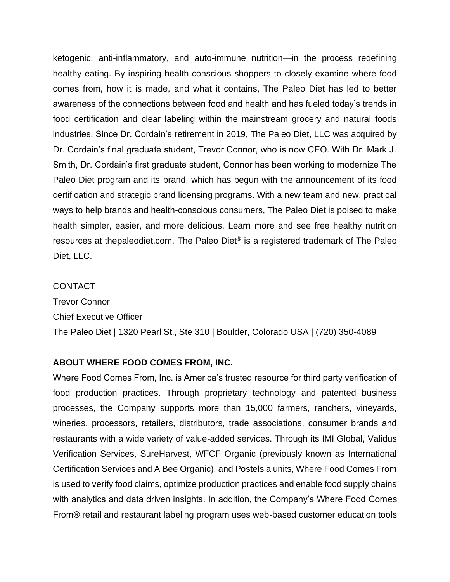ketogenic, anti-inflammatory, and auto-immune nutrition—in the process redefining healthy eating. By inspiring health-conscious shoppers to closely examine where food comes from, how it is made, and what it contains, The Paleo Diet has led to better awareness of the connections between food and health and has fueled today's trends in food certification and clear labeling within the mainstream grocery and natural foods industries. Since Dr. Cordain's retirement in 2019, The Paleo Diet, LLC was acquired by Dr. Cordain's final graduate student, Trevor Connor, who is now CEO. With Dr. Mark J. Smith, Dr. Cordain's first graduate student, Connor has been working to modernize The Paleo Diet program and its brand, which has begun with the announcement of its food certification and strategic brand licensing programs. With a new team and new, practical ways to help brands and health-conscious consumers, The Paleo Diet is poised to make health simpler, easier, and more delicious. Learn more and see free healthy nutrition resources at thepaleodiet.com. The Paleo Diet<sup>®</sup> is a registered trademark of The Paleo Diet, LLC.

### **CONTACT**

Trevor Connor Chief Executive Officer The Paleo Diet | 1320 Pearl St., Ste 310 | Boulder, Colorado USA | (720) 350-4089

#### **ABOUT WHERE FOOD COMES FROM, INC.**

Where Food Comes From, Inc. is America's trusted resource for third party verification of food production practices. Through proprietary technology and patented business processes, the Company supports more than 15,000 farmers, ranchers, vineyards, wineries, processors, retailers, distributors, trade associations, consumer brands and restaurants with a wide variety of value-added services. Through its IMI Global, Validus Verification Services, SureHarvest, WFCF Organic (previously known as International Certification Services and A Bee Organic), and Postelsia units, Where Food Comes From is used to verify food claims, optimize production practices and enable food supply chains with analytics and data driven insights. In addition, the Company's Where Food Comes From® retail and restaurant labeling program uses web-based customer education tools